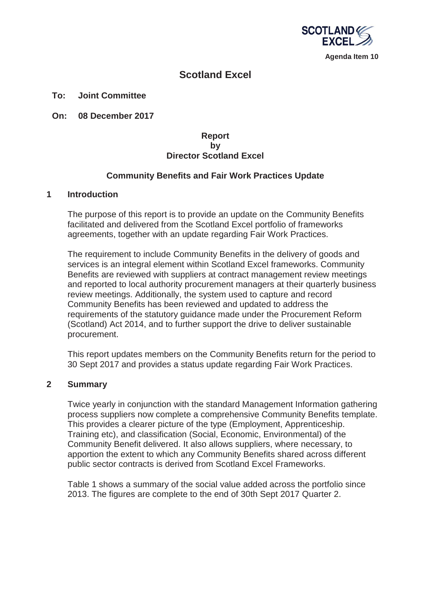

# **Scotland Excel**

#### **To: Joint Committee**

**On: 08 December 2017**

## **Report by Director Scotland Excel**

## **Community Benefits and Fair Work Practices Update**

#### **1 Introduction**

The purpose of this report is to provide an update on the Community Benefits facilitated and delivered from the Scotland Excel portfolio of frameworks agreements, together with an update regarding Fair Work Practices.

The requirement to include Community Benefits in the delivery of goods and services is an integral element within Scotland Excel frameworks. Community Benefits are reviewed with suppliers at contract management review meetings and reported to local authority procurement managers at their quarterly business review meetings. Additionally, the system used to capture and record Community Benefits has been reviewed and updated to address the requirements of the statutory guidance made under the Procurement Reform (Scotland) Act 2014, and to further support the drive to deliver sustainable procurement.

This report updates members on the Community Benefits return for the period to 30 Sept 2017 and provides a status update regarding Fair Work Practices.

#### **2 Summary**

Twice yearly in conjunction with the standard Management Information gathering process suppliers now complete a comprehensive Community Benefits template. This provides a clearer picture of the type (Employment, Apprenticeship. Training etc), and classification (Social, Economic, Environmental) of the Community Benefit delivered. It also allows suppliers, where necessary, to apportion the extent to which any Community Benefits shared across different public sector contracts is derived from Scotland Excel Frameworks.

Table 1 shows a summary of the social value added across the portfolio since 2013. The figures are complete to the end of 30th Sept 2017 Quarter 2.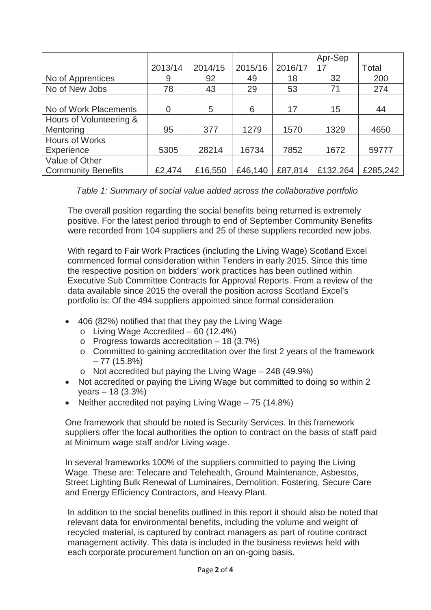|                           |                |         |         |         | Apr-Sep  |          |
|---------------------------|----------------|---------|---------|---------|----------|----------|
|                           | 2013/14        | 2014/15 | 2015/16 | 2016/17 | 17       | Total    |
| No of Apprentices         | 9              | 92      | 49      | 18      | 32       | 200      |
| No of New Jobs            | 78             | 43      | 29      | 53      | 71       | 274      |
|                           |                |         |         |         |          |          |
| No of Work Placements     | $\overline{0}$ | 5       | 6       | 17      | 15       | 44       |
| Hours of Volunteering &   |                |         |         |         |          |          |
| Mentoring                 | 95             | 377     | 1279    | 1570    | 1329     | 4650     |
| <b>Hours of Works</b>     |                |         |         |         |          |          |
| Experience                | 5305           | 28214   | 16734   | 7852    | 1672     | 59777    |
| Value of Other            |                |         |         |         |          |          |
| <b>Community Benefits</b> | £2,474         | £16,550 | £46,140 | £87,814 | £132,264 | £285,242 |

*Table 1: Summary of social value added across the collaborative portfolio* 

The overall position regarding the social benefits being returned is extremely positive. For the latest period through to end of September Community Benefits were recorded from 104 suppliers and 25 of these suppliers recorded new jobs.

With regard to Fair Work Practices (including the Living Wage) Scotland Excel commenced formal consideration within Tenders in early 2015. Since this time the respective position on bidders' work practices has been outlined within Executive Sub Committee Contracts for Approval Reports. From a review of the data available since 2015 the overall the position across Scotland Excel's portfolio is: Of the 494 suppliers appointed since formal consideration

- $\bullet$  406 (82%) notified that that they pay the Living Wage
	- $\circ$  Living Wage Accredited 60 (12.4%)
	- $\circ$  Progress towards accreditation 18 (3.7%)
	- o Committed to gaining accreditation over the first 2 years of the framework – 77 (15.8%)
	- $\circ$  Not accredited but paying the Living Wage 248 (49.9%)
- Not accredited or paying the Living Wage but committed to doing so within 2 years – 18 (3.3%)
- Neither accredited not paying Living Wage  $-75$  (14.8%)

One framework that should be noted is Security Services. In this framework suppliers offer the local authorities the option to contract on the basis of staff paid at Minimum wage staff and/or Living wage.

In several frameworks 100% of the suppliers committed to paying the Living Wage. These are: Telecare and Telehealth, Ground Maintenance, Asbestos, Street Lighting Bulk Renewal of Luminaires, Demolition, Fostering, Secure Care and Energy Efficiency Contractors, and Heavy Plant.

In addition to the social benefits outlined in this report it should also be noted that relevant data for environmental benefits, including the volume and weight of recycled material, is captured by contract managers as part of routine contract management activity. This data is included in the business reviews held with each corporate procurement function on an on-going basis.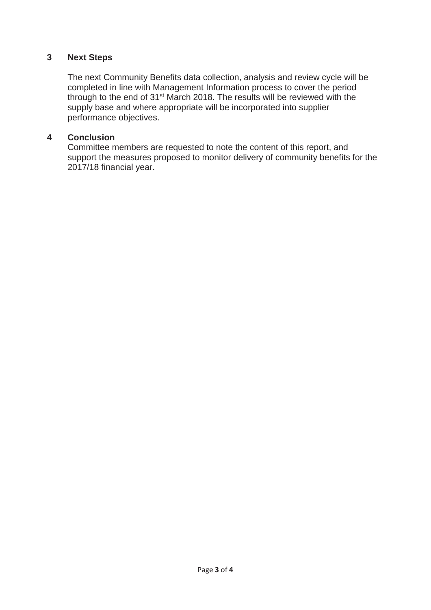# **3 Next Steps**

The next Community Benefits data collection, analysis and review cycle will be completed in line with Management Information process to cover the period through to the end of 31st March 2018. The results will be reviewed with the supply base and where appropriate will be incorporated into supplier performance objectives.

### **4 Conclusion**

Committee members are requested to note the content of this report, and support the measures proposed to monitor delivery of community benefits for the 2017/18 financial year.